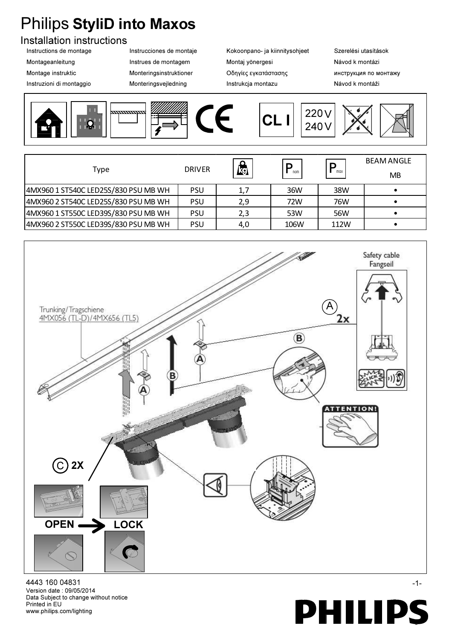## Philips StyliD into Maxos

## Installation instructions

- 
- 

Instructions de montage **Instrucciones de montaje** Kokoonpano- ja kiinnitysohjeet Szerelési utasítások Montageanleitung **Instrues de montagem** Montaj yönergesi Návod k montázi Montage instruktic **Monteringsinstruktioner** Οδηγίες εγκατάστασης **Μο**πειτργκιμια πο мοнтажу Instruzioni di montaggio **Monteringsvejledning** Instrukcja montazu **Instrukcia montazu** Návod k montáži



| Type                                 | <b>DRIVER</b> | <u> റ</u><br><b>kg</b> | nom  | D<br>max | <b>BEAM ANGLE</b><br>MB |
|--------------------------------------|---------------|------------------------|------|----------|-------------------------|
| 4MX960 1 ST540C LED25S/830 PSU MB WH | <b>PSU</b>    | 1,7                    | 36W  | 38W      |                         |
| 4MX960 2 ST540C LED25S/830 PSU MB WH | <b>PSU</b>    | 2,9                    | 72W  | 76W      |                         |
| 4MX960 1 ST550C LED39S/830 PSU MB WH | <b>PSU</b>    | 2,3                    | 53W  | 56W      |                         |
| 4MX960 2 ST550C LED39S/830 PSU MB WH | <b>PSU</b>    | 4,0                    | 106W | 112W     |                         |



www.philips.com/lighting Printed in EU Data Subject to change without notice Version date : 09/05/2014 4443 160 04831 -1-

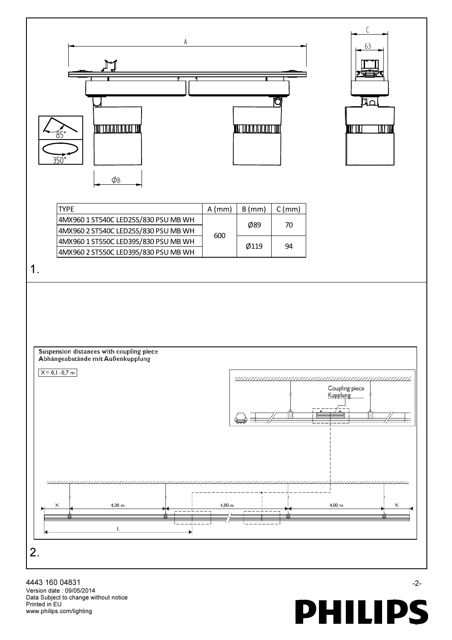

www.philips.com/lighting Printed in EU Data Subject to change without notice Version date : 09/05/2014 4443 160 04831 - 2-